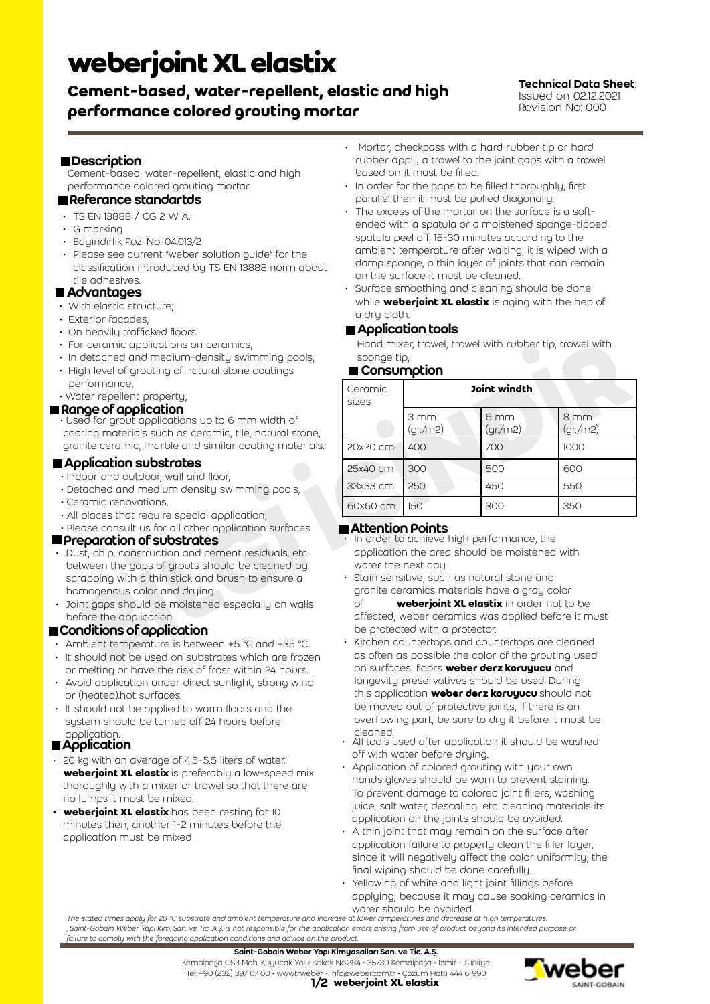# **weberjoint XL elastix**

## **Cement-based, water-repellent, elastic and high performance colored grouting mortar**

Technical Data Sheet: Issued on 02.12.2021 Revision No: 000

## ■Description

Cement-based, water-repellent, elastic and high performance colored grouting mortar

## Referance standartds

- TS EN 13888 / CG 2 W A.
- G marking
- Bayındırlık Poz. No: 04.013/2
- Please see current "weber solution guide" for the classification introduced by TS EN 13888 norm about tile adhesives.

## **■ Advantages**

- With elastic structure;
- Exterior facades,
- On heavily trafficked floors.
- For ceramic applications on ceramics,
- In detached and medium-density swimming pools,
- High level of grouting of natural stone coatings
- performance, • Water repellent property,

#### Range of application

Used for grout applications up to 6 mm width of coating materials such as ceramic, tile, natural stone, granite ceramic, marble and similar coating materials.

## **Application substrates**

- Indoor and outdoor, wall and floor,
- Detached and medium density swimming pools,
- Ceramic renovations,
- All places that require special application,
- Please consult us for all other application surfaces

## **Preparation of substrates**

- Dust, chip, construction and cement residuals, etc. between the gaps of grouts should be cleaned by scrapping with a thin stick and brush to ensure a homogenous color and drying.
- Joint gaps should be moistened especially on walls before the application.

## Conditions of application

- Ambient temperature is between +5 °C and +35 °C.
- It should not be used on substrates which are frozen or melting or have the risk of frost within 24 hours.
- Avoid application under direct sunlight, strong wind or (heated).hot surfaces.
- It should not be applied to warm floors and the system should be turned off 24 hours before application.

## **Application**

- 20 kg with an average of 4.5-5.5 liters of water.' **weberjoint XL elastix** is preferably a low-speed mix thoroughly with a mixer or trowel so that there are no lumps it must be mixed.
- **• weberjoint XL elastix** has been resting for 10 minutes then, another 1-2 minutes before the application must be mixed
- Mortar, checkpass with a hard rubber tip or hard rubber apply a trowel to the joint gaps with a trowel based on it must be filled.
- In order for the gaps to be filled thoroughly, first parallel then it must be pulled diagonally.
- The excess of the mortar on the surface is a softended with a spatula or a moistened sponge-tipped spatula peel off, 15-30 minutes according to the ambient temperature after waiting, it is wiped with a damp sponge, a thin layer of joints that can remain on the surface it must be cleaned.
- Surface smoothing and cleaning should be done while **weberjoint XL elastix** is aging with the hep of a dry cloth.

#### **Application tools**

#### ■ Consumption

| or ceramic applications on ceramics,<br>detached and medium-density swimming pools,<br>gh level of grouting of natural stone coatings                                                                                                                                                                                                                                                                                                                                                                                          | Hand mixer, trowel, trowel with rubber tip, trowel with<br>sponge tip,<br>■ Consumption                                                                                                                                                                                                                                                                                                                                                                                                   |                |                            |                            |
|--------------------------------------------------------------------------------------------------------------------------------------------------------------------------------------------------------------------------------------------------------------------------------------------------------------------------------------------------------------------------------------------------------------------------------------------------------------------------------------------------------------------------------|-------------------------------------------------------------------------------------------------------------------------------------------------------------------------------------------------------------------------------------------------------------------------------------------------------------------------------------------------------------------------------------------------------------------------------------------------------------------------------------------|----------------|----------------------------|----------------------------|
| erformance,<br>ater repellent property,                                                                                                                                                                                                                                                                                                                                                                                                                                                                                        | Ceramic<br>sizes                                                                                                                                                                                                                                                                                                                                                                                                                                                                          | Joint windth   |                            |                            |
| <b>nge of application</b><br>ed for grout applications up to 6 mm width of<br>ating materials such as ceramic, tile, natural stone,                                                                                                                                                                                                                                                                                                                                                                                            |                                                                                                                                                                                                                                                                                                                                                                                                                                                                                           | 3mm<br>(gr/m2) | 6 <sub>mm</sub><br>(gr/m2) | 8 <sub>mm</sub><br>(gr/m2) |
| nite ceramic, marble and similar coating materials.                                                                                                                                                                                                                                                                                                                                                                                                                                                                            | 20x20 cm                                                                                                                                                                                                                                                                                                                                                                                                                                                                                  | 400            | 700                        | 1000                       |
| plication substrates                                                                                                                                                                                                                                                                                                                                                                                                                                                                                                           | 25x40 cm                                                                                                                                                                                                                                                                                                                                                                                                                                                                                  | 300            | 500                        | 600                        |
| door and outdoor, wall and floor,<br>tached and medium density swimming pools,                                                                                                                                                                                                                                                                                                                                                                                                                                                 | 33x33 cm                                                                                                                                                                                                                                                                                                                                                                                                                                                                                  | 250            | 450                        | 550                        |
| ramic renovations,                                                                                                                                                                                                                                                                                                                                                                                                                                                                                                             | 60x60 cm                                                                                                                                                                                                                                                                                                                                                                                                                                                                                  | 150            | 300                        | 350                        |
| places that require special application,<br>ease consult us for all other application surfaces<br>eparation of substrates<br>st, chip, construction and cement residuals, etc.<br>tween the gaps of grouts should be cleaned by<br>rapping with a thin stick and brush to ensure a<br>mogenous color and drying.<br>nt gaps should be moistened especially on walls<br>fore the application.<br>nditions of application<br>obient temperature is between +5 °C and +35 °C.<br>hould not be used on substrates which are frozen | ∎Attention Points<br>In order to achieve high performance, the<br>application the area should be moistened with<br>water the next day.<br>Stain sensitive, such as natural stone and<br>granite ceramics materials have a gray color<br>weberjoint XL elastix in order not to be<br>оf<br>affected, weber ceramics was applied before it must<br>be protected with a protector.<br>Kitchen countertops and countertops are cleaned<br>as often as possible the color of the grouting used |                |                            |                            |

## **E** Attention Points

- In order to achieve high performance, the application the area should be moistened with water the next day.
- Stain sensitive, such as natural stone and granite ceramics materials have a gray color of **weberjoint XL elastix** in order not to be affected, weber ceramics was applied before it must be protected with a protector.
- Kitchen countertops and countertops are cleaned as often as possible the color of the grouting used on surfaces, floors **weber derz koruyucu** and longevity preservatives should be used. During this application **weber derz koruyucu** should not be moved out of protective joints, if there is an overflowing part, be sure to dry it before it must be cleaned.
- All tools used after application it should be washed off with water before drying.
- Application of colored grouting with your own hands gloves should be worn to prevent staining. To prevent damage to colored joint fillers, washing juice, salt water, descaling, etc. cleaning materials its application on the joints should be avoided.
- A thin joint that may remain on the surface after application failure to properly clean the filler layer, since it will negatively affect the color uniformity, the final wiping should be done carefully.
- Yellowing of white and light joint fillings before applying, because it may cause soaking ceramics in water should be avoided.

*The stated times apply for 20 °C substrate and ambient temperature and increase at lower temperatures and decrease at high temperatures.* Saint-Gobain Weber Yapı Kim. San. ve Tic. A.Ş. is not responsible for the application errors arising from use of product beyond its intended purpose or *failure to comply with the foregoing application conditions and advice on the product.*

#### Saint-Gobain Weber Yapı Kimyasalları San. ve Tic. A.Ş.

1/2 **weberjoint XL elastix** Tel: +90 (232) 397 07 00 • www.tr.weber • info@weber.com.tr • Çözüm Hattı 444 6 990 Kemalpaşa OSB Mah. Kuyucak Yolu Sokak No:284 • 35730 Kemalpaşa • İzmir • Türkiye